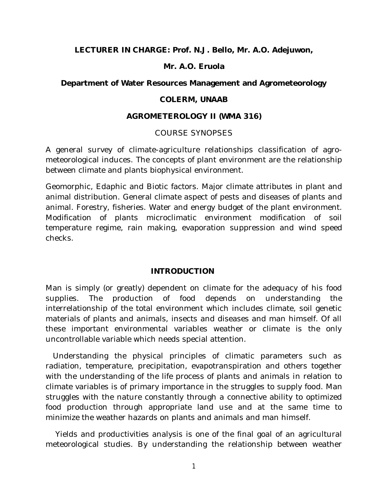**LECTURER IN CHARGE: Prof. N.J. Bello, Mr. A.O. Adejuwon,** 

### **Mr. A.O. Eruola**

### **Department of Water Resources Management and Agrometeorology**

### **COLERM, UNAAB**

### **AGROMETEROLOGY II (WMA 316)**

### COURSE SYNOPSES

A general survey of climate-agriculture relationships classification of agrometeorological induces. The concepts of plant environment are the relationship between climate and plants biophysical environment.

Geomorphic, Edaphic and Biotic factors. Major climate attributes in plant and animal distribution. General climate aspect of pests and diseases of plants and animal. Forestry, fisheries. Water and energy budget of the plant environment. Modification of plants microclimatic environment modification of soil temperature regime, rain making, evaporation suppression and wind speed checks.

### **INTRODUCTION**

Man is simply (or greatly) dependent on climate for the adequacy of his food supplies. The production of food depends on understanding the interrelationship of the total environment which includes climate, soil genetic materials of plants and animals, insects and diseases and man himself. Of all these important environmental variables weather or climate is the only uncontrollable variable which needs special attention.

 Understanding the physical principles of climatic parameters such as radiation, temperature, precipitation, evapotranspiration and others together with the understanding of the life process of plants and animals in relation to climate variables is of primary importance in the struggles to supply food. Man struggles with the nature constantly through a connective ability to optimized food production through appropriate land use and at the same time to minimize the weather hazards on plants and animals and man himself.

 Yields and productivities analysis is one of the final goal of an agricultural meteorological studies. By understanding the relationship between weather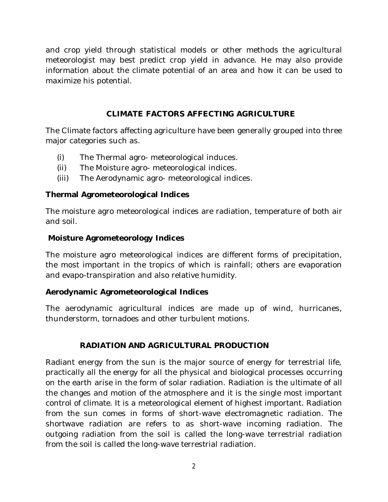and crop yield through statistical models or other methods the agricultural meteorologist may best predict crop yield in advance. He may also provide information about the climate potential of an area and how it can be used to maximize his potential.

## CLIMATE FACTORS AFFFCTING AGRICULTURE

The Climate factors affecting agriculture have been generally grouped into three major categories such as.

- (i) The Thermal agro- meteorological induces.
- (ii) The Moisture agro- meteorological indices.
- (iii) The Aerodynamic agro- meteorological indices.

## **Thermal Agrometeorological Indices**

The moisture agro meteorological indices are radiation, temperature of both air and soil.

### **Moisture Agrometeorology Indices**

The moisture agro meteorological indices are different forms of precipitation, the most important in the tropics of which is rainfall; others are evaporation and evapo-transpiration and also relative humidity.

## **Aerodynamic Agrometeorological Indices**

The aerodynamic agricultural indices are made up of wind, hurricanes, thunderstorm, tornadoes and other turbulent motions.

## **RADIATION AND AGRICULTURAL PRODUCTION**

Radiant energy from the sun is the major source of energy for terrestrial life, practically all the energy for all the physical and biological processes occurring on the earth arise in the form of solar radiation. Radiation is the ultimate of all the changes and motion of the atmosphere and it is the single most important control of climate. It is a meteorological element of highest important. Radiation from the sun comes in forms of short-wave electromagnetic radiation. The shortwave radiation are refers to as short-wave incoming radiation. The outgoing radiation from the soil is called the long-wave terrestrial radiation from the soil is called the long-wave terrestrial radiation.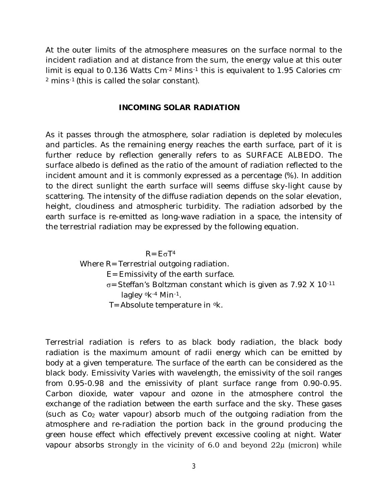At the outer limits of the atmosphere measures on the surface normal to the incident radiation and at distance from the sum, the energy value at this outer limit is equal to 0.136 Watts Cm-2 Mins-1 this is equivalent to 1.95 Calories cm-<sup>2</sup> mins-1 (this is called the solar constant).

#### **INCOMING SOLAR RADIATION**

As it passes through the atmosphere, solar radiation is depleted by molecules and particles. As the remaining energy reaches the earth surface, part of it is further reduce by reflection generally refers to as SURFACE ALBEDO. The surface albedo is defined as the ratio of the amount of radiation reflected to the incident amount and it is commonly expressed as a percentage (%). In addition to the direct sunlight the earth surface will seems diffuse sky-light cause by scattering. The intensity of the diffuse radiation depends on the solar elevation, height, cloudiness and atmospheric turbidity. The radiation adsorbed by the earth surface is re-emitted as long-wave radiation in a space, the intensity of the terrestrial radiation may be expressed by the following equation.

 $R = E \sigma T^4$ 

## Where R= Terrestrial outgoing radiation.

- E= Emissivity of the earth surface.
- $\sigma$ = Steffan's Boltzman constant which is given as 7.92 X 10 $^{-11}$ lagley <sup>o</sup>k-4 Min-1.
- T= Absolute temperature in <sup>o</sup>k.

Terrestrial radiation is refers to as black body radiation, the black body radiation is the maximum amount of radii energy which can be emitted by body at a given temperature. The surface of the earth can be considered as the black body. Emissivity Varies with wavelength, the emissivity of the soil ranges from 0.95-0.98 and the emissivity of plant surface range from 0.90-0.95. Carbon dioxide, water vapour and ozone in the atmosphere control the exchange of the radiation between the earth surface and the sky. These gases (such as Co<sup>2</sup> water vapour) absorb much of the outgoing radiation from the atmosphere and re-radiation the portion back in the ground producing the green house effect which effectively prevent excessive cooling at night. Water vapour absorbs strongly in the vicinity of 6.0 and beyond  $22\mu$  (micron) while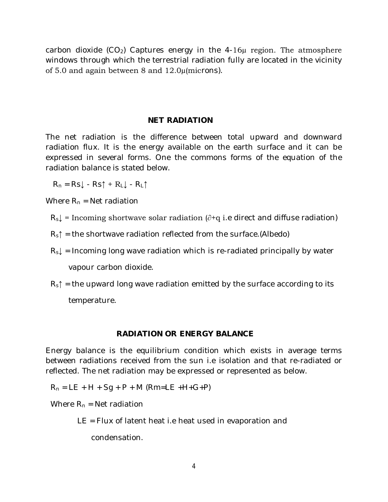carbon dioxide  $(CO_2)$  Captures energy in the 4-16 $\mu$  region. The atmosphere windows through which the terrestrial radiation fully are located in the vicinity of 5.0 and again between 8 and 12.0µ(microns).

### **NET RADIATION**

The net radiation is the difference between total upward and downward radiation flux. It is the energy available on the earth surface and it can be expressed in several forms. One the commons forms of the equation of the radiation balance is stated below.

 $R_n = RS \cdot Rs \uparrow + R \downarrow$  -  $R \uparrow$ 

Where  $R_n$  = Net radiation

- $R_s$  = Incoming shortwave solar radiation ( $\partial$ +q i.e direct and diffuse radiation)
- $R_s \uparrow$  = the shortwave radiation reflected from the surface.(Albedo)
- $R_s$  = Incoming long wave radiation which is re-radiated principally by water vapour carbon dioxide.
- $R_s \uparrow$  = the upward long wave radiation emitted by the surface according to its temperature.

#### **RADIATION OR ENERGY BALANCE**

Energy balance is the equilibrium condition which exists in average terms between radiations received from the sun i.e isolation and that re-radiated or reflected. The net radiation may be expressed or represented as below.

 $R_n = LE + H + Sq + P + M (Rm = LE + H + G + P)$ 

Where  $R_n$  = Net radiation

LE = Flux of latent heat i.e heat used in evaporation and

condensation.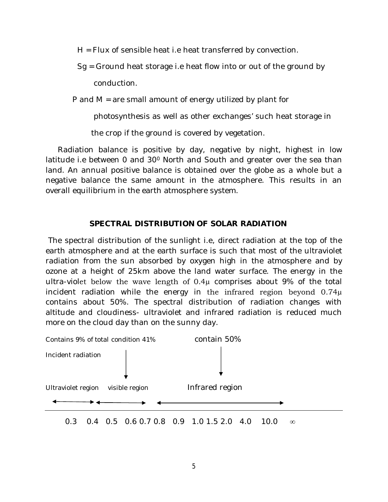H = Flux of sensible heat i.e heat transferred by convection.

 Sg = Ground heat storage i.e heat flow into or out of the ground by conduction.

P and M = are small amount of energy utilized by plant for

photosynthesis as well as other exchanges' such heat storage in

the crop if the ground is covered by vegetation.

 Radiation balance is positive by day, negative by night, highest in low latitude i.e between 0 and 30<sup>0</sup> North and South and greater over the sea than land. An annual positive balance is obtained over the globe as a whole but a negative balance the same amount in the atmosphere. This results in an overall equilibrium in the earth atmosphere system.

## **SPECTRAL DISTRIBUTION OF SOLAR RADIATION**

The spectral distribution of the sunlight i.e, direct radiation at the top of the earth atmosphere and at the earth surface is such that most of the ultraviolet radiation from the sun absorbed by oxygen high in the atmosphere and by ozone at a height of 25km above the land water surface. The energy in the ultra-violet below the wave length of 0.4µ comprises about 9% of the total incident radiation while the energy in the infrared region beyond  $0.74\mu$ contains about 50%. The spectral distribution of radiation changes with altitude and cloudiness- ultraviolet and infrared radiation is reduced much more on the cloud day than on the sunny day.

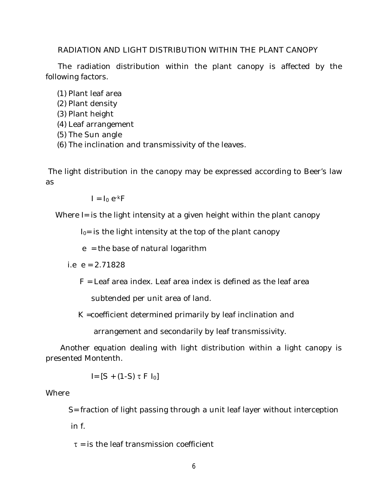#### RADIATION AND LIGHT DISTRIBUTION WITHIN THE PLANT CANOPY

 The radiation distribution within the plant canopy is affected by the following factors.

(1) Plant leaf area

- (2) Plant density
- (3) Plant height
- (4) Leaf arrangement
- (5) The Sun angle
- (6) The inclination and transmissivity of the leaves.

The light distribution in the canopy may be expressed according to Beer's law as

 $I = I_0 e^{-k}F$ 

Where I= is the light intensity at a given height within the plant canopy

 $I<sub>0</sub>$  is the light intensity at the top of the plant canopy

 $e =$  the base of natural logarithm

i.e  $e = 2.71828$ 

F = Leaf area index. Leaf area index is defined as the leaf area

subtended per unit area of land.

K =coefficient determined primarily by leaf inclination and

arrangement and secondarily by leaf transmissivity.

 Another equation dealing with light distribution within a light canopy is presented Montenth.

 $I = [S + (1-S) \tau F I_0]$ 

### Where

S= fraction of light passing through a unit leaf layer without interception

in f.

 $\tau$  = is the leaf transmission coefficient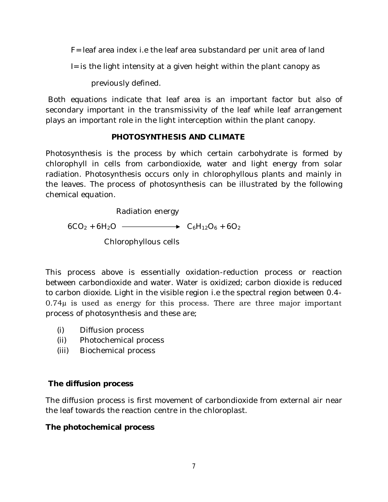F= leaf area index i.e the leaf area substandard per unit area of land

I= is the light intensity at a given height within the plant canopy as

previously defined.

Both equations indicate that leaf area is an important factor but also of secondary important in the transmissivity of the leaf while leaf arrangement plays an important role in the light interception within the plant canopy.

## **PHOTOSYNTHESIS AND CLIMATE**

Photosynthesis is the process by which certain carbohydrate is formed by chlorophyll in cells from carbondioxide, water and light energy from solar radiation. Photosynthesis occurs only in chlorophyllous plants and mainly in the leaves. The process of photosynthesis can be illustrated by the following chemical equation.

Radiation energy

 $6CO_2 + 6H_2O \longrightarrow C_6H_{12}O_6 + 6O_2$ Chlorophyllous cells

This process above is essentially oxidation-reduction process or reaction between carbondioxide and water. Water is oxidized; carbon dioxide is reduced to carbon dioxide. Light in the visible region i.e the spectral region between 0.4- 0.74µ is used as energy for this process. There are three major important process of photosynthesis and these are;

- (i) Diffusion process
- (ii) Photochemical process
- (iii) Biochemical process

# **The diffusion process**

The diffusion process is first movement of carbondioxide from external air near the leaf towards the reaction centre in the chloroplast.

# **The photochemical process**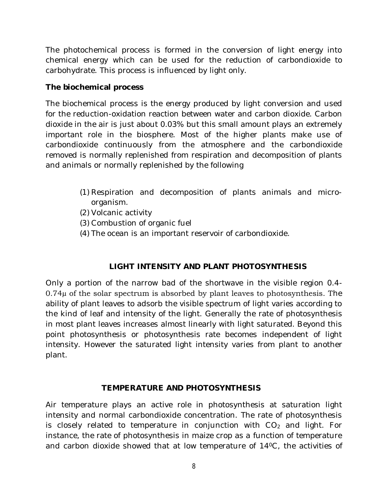The photochemical process is formed in the conversion of light energy into chemical energy which can be used for the reduction of carbondioxide to carbohydrate. This process is influenced by light only.

### **The biochemical process**

The biochemical process is the energy produced by light conversion and used for the reduction-oxidation reaction between water and carbon dioxide. Carbon dioxide in the air is just about 0.03% but this small amount plays an extremely important role in the biosphere. Most of the higher plants make use of carbondioxide continuously from the atmosphere and the carbondioxide removed is normally replenished from respiration and decomposition of plants and animals or normally replenished by the following

- (1) Respiration and decomposition of plants animals and microorganism.
- (2) Volcanic activity
- (3) Combustion of organic fuel
- (4) The ocean is an important reservoir of carbondioxide.

## **LIGHT INTENSITY AND PLANT PHOTOSYNTHESIS**

Only a portion of the narrow bad of the shortwave in the visible region 0.4- 0.74µ of the solar spectrum is absorbed by plant leaves to photosynthesis. The ability of plant leaves to adsorb the visible spectrum of light varies according to the kind of leaf and intensity of the light. Generally the rate of photosynthesis in most plant leaves increases almost linearly with light saturated. Beyond this point photosynthesis or photosynthesis rate becomes independent of light intensity. However the saturated light intensity varies from plant to another plant.

## **TEMPERATURE AND PHOTOSYNTHESIS**

Air temperature plays an active role in photosynthesis at saturation light intensity and normal carbondioxide concentration. The rate of photosynthesis is closely related to temperature in conjunction with  $CO<sub>2</sub>$  and light. For instance, the rate of photosynthesis in maize crop as a function of temperature and carbon dioxide showed that at low temperature of  $14^{\circ}$ C, the activities of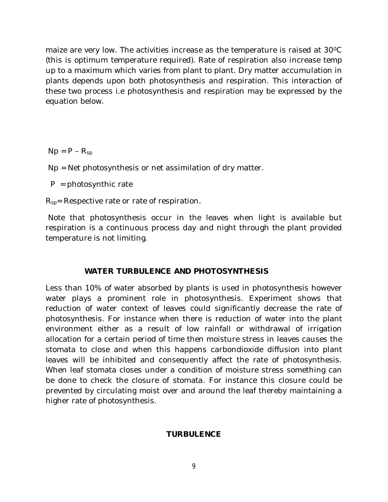maize are very low. The activities increase as the temperature is raised at 30 °C (this is optimum temperature required). Rate of respiration also increase temp up to a maximum which varies from plant to plant. Dry matter accumulation in plants depends upon both photosynthesis and respiration. This interaction of these two process i.e photosynthesis and respiration may be expressed by the equation below.

 $Np = P - R_{sp}$ 

Np = Net photosynthesis or net assimilation of dry matter.

 $P = photosyn$ thic rate

R<sub>sp</sub>= Respective rate or rate of respiration.

Note that photosynthesis occur in the leaves when light is available but respiration is a continuous process day and night through the plant provided temperature is not limiting.

### **WATER TURBULENCE AND PHOTOSYNTHESIS**

Less than 10% of water absorbed by plants is used in photosynthesis however water plays a prominent role in photosynthesis. Experiment shows that reduction of water context of leaves could significantly decrease the rate of photosynthesis. For instance when there is reduction of water into the plant environment either as a result of low rainfall or withdrawal of irrigation allocation for a certain period of time then moisture stress in leaves causes the stomata to close and when this happens carbondioxide diffusion into plant leaves will be inhibited and consequently affect the rate of photosynthesis. When leaf stomata closes under a condition of moisture stress something can be done to check the closure of stomata. For instance this closure could be prevented by circulating moist over and around the leaf thereby maintaining a higher rate of photosynthesis.

### **TURBULENCE**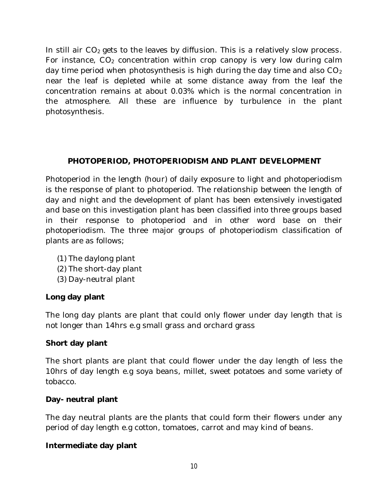In still air  $CO<sub>2</sub>$  gets to the leaves by diffusion. This is a relatively slow process. For instance,  $CO<sub>2</sub>$  concentration within crop canopy is very low during calm day time period when photosynthesis is high during the day time and also  $CO<sub>2</sub>$ near the leaf is depleted while at some distance away from the leaf the concentration remains at about 0.03% which is the normal concentration in the atmosphere. All these are influence by turbulence in the plant photosynthesis.

## **PHOTOPERIOD, PHOTOPERIODISM AND PLANT DEVELOPMENT**

Photoperiod in the length (hour) of daily exposure to light and photoperiodism is the response of plant to photoperiod. The relationship between the length of day and night and the development of plant has been extensively investigated and base on this investigation plant has been classified into three groups based in their response to photoperiod and in other word base on their photoperiodism. The three major groups of photoperiodism classification of plants are as follows;

- (1) The daylong plant
- (2) The short-day plant
- (3) Day-neutral plant

## **Long day plant**

The long day plants are plant that could only flower under day length that is not longer than 14hrs e.g small grass and orchard grass

### **Short day plant**

The short plants are plant that could flower under the day length of less the 10hrs of day length e.g soya beans, millet, sweet potatoes and some variety of tobacco.

### **Day- neutral plant**

The day neutral plants are the plants that could form their flowers under any period of day length e.g cotton, tomatoes, carrot and may kind of beans.

### **Intermediate day plant**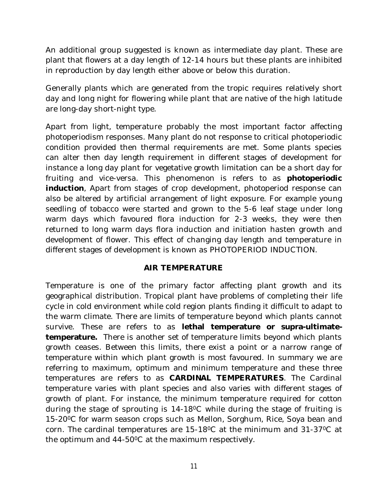An additional group suggested is known as intermediate day plant. These are plant that flowers at a day length of 12-14 hours but these plants are inhibited in reproduction by day length either above or below this duration.

Generally plants which are generated from the tropic requires relatively short day and long night for flowering while plant that are native of the high latitude are long-day short-night type.

Apart from light, temperature probably the most important factor affecting photoperiodism responses. Many plant do not response to critical photoperiodic condition provided then thermal requirements are met. Some plants species can alter then day length requirement in different stages of development for instance a long day plant for vegetative growth limitation can be a short day for fruiting and vice-versa. This phenomenon is refers to as **photoperiodic induction**, Apart from stages of crop development, photoperiod response can also be altered by artificial arrangement of light exposure. For example young seedling of tobacco were started and grown to the 5-6 leaf stage under long warm days which favoured flora induction for 2-3 weeks, they were then returned to long warm days flora induction and initiation hasten growth and development of flower. This effect of changing day length and temperature in different stages of development is known as PHOTOPERIOD INDUCTION.

### **AIR TEMPERATURE**

Temperature is one of the primary factor affecting plant growth and its geographical distribution. Tropical plant have problems of completing their life cycle in cold environment while cold region plants finding it difficult to adapt to the warm climate. There are limits of temperature beyond which plants cannot survive. These are refers to as **lethal temperature or supra-ultimatetemperature.** There is another set of temperature limits beyond which plants growth ceases. Between this limits, there exist a point or a narrow range of temperature within which plant growth is most favoured. In summary we are referring to maximum, optimum and minimum temperature and these three temperatures are refers to as **CARDINAL TEMPERATURES**. The Cardinal temperature varies with plant species and also varies with different stages of growth of plant. For instance, the minimum temperature required for cotton during the stage of sprouting is 14-18<sup>0</sup>C while during the stage of fruiting is 15-20<sup>o</sup>C for warm season crops such as Mellon, Sorghum, Rice, Soya bean and corn. The cardinal temperatures are 15-18<sup>0</sup>C at the minimum and 31-37<sup>0</sup>C at the optimum and 44-500C at the maximum respectively.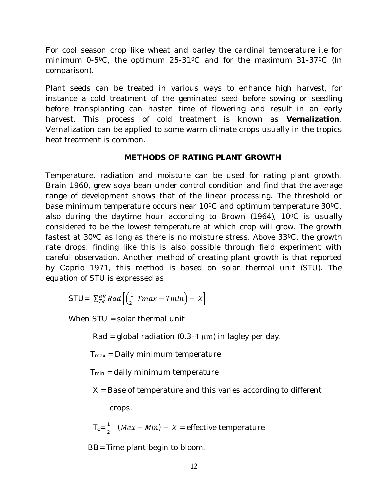For cool season crop like wheat and barley the cardinal temperature i.e for minimum  $0-5\degree$ C, the optimum  $25-31\degree$ C and for the maximum  $31-37\degree$ C (In comparison).

Plant seeds can be treated in various ways to enhance high harvest, for instance a cold treatment of the geminated seed before sowing or seedling before transplanting can hasten time of flowering and result in an early harvest. This process of cold treatment is known as **Vernalization**. Vernalization can be applied to some warm climate crops usually in the tropics heat treatment is common.

### **METHODS OF RATING PLANT GROWTH**

Temperature, radiation and moisture can be used for rating plant growth. Brain 1960, grew soya bean under control condition and find that the average range of development shows that of the linear processing. The threshold or base minimum temperature occurs near 10<sup>o</sup>C and optimum temperature 30<sup>o</sup>C. also during the daytime hour according to Brown (1964), 10<sup>o</sup>C is usually considered to be the lowest temperature at which crop will grow. The growth fastest at  $30^{\circ}$ C as long as there is no moisture stress. Above  $33^{\circ}$ C, the growth rate drops. finding like this is also possible through field experiment with careful observation. Another method of creating plant growth is that reported by Caprio 1971, this method is based on solar thermal unit (STU). The equation of STU is expressed as

STU=  $\sum_{T}^{BB} Rad\left[\left(\frac{1}{2}\right)\right]$  $_{Te}^{BB}$  Rad  $\left[\left(\frac{1}{2}$  Tmax  $-$  Tmln $\right)$   $X\right]$ 

When STU = solar thermal unit

Rad = global radiation  $(0.3-4 \mu m)$  in lagley per day.

 $T<sub>max</sub>$  = Daily minimum temperature

 $T<sub>min</sub> = daily minimum temperature$ 

X = Base of temperature and this varies according to different

crops.

 $T_c = \frac{1}{2}$  $\frac{1}{2}$  (*Max – Min*) – *X* = effective temperature

BB= Time plant begin to bloom.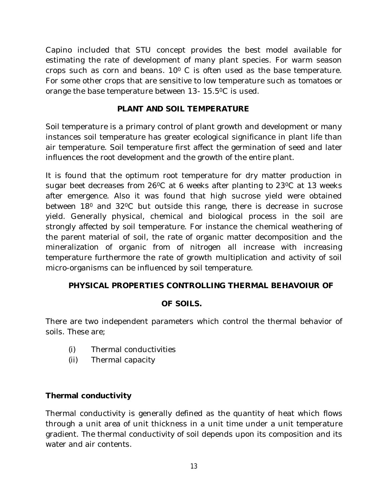Capino included that STU concept provides the best model available for estimating the rate of development of many plant species. For warm season crops such as corn and beans.  $10^{\circ}$  C is often used as the base temperature. For some other crops that are sensitive to low temperature such as tomatoes or orange the base temperature between 13- 15.5<sup>0</sup>C is used.

## **PLANT AND SOIL TEMPERATURE**

Soil temperature is a primary control of plant growth and development or many instances soil temperature has greater ecological significance in plant life than air temperature. Soil temperature first affect the germination of seed and later influences the root development and the growth of the entire plant.

It is found that the optimum root temperature for dry matter production in sugar beet decreases from 26<sup>o</sup>C at 6 weeks after planting to 23<sup>o</sup>C at 13 weeks after emergence. Also it was found that high sucrose yield were obtained between 18<sup>0</sup> and 32<sup>o</sup>C but outside this range, there is decrease in sucrose yield. Generally physical, chemical and biological process in the soil are strongly affected by soil temperature. For instance the chemical weathering of the parent material of soil, the rate of organic matter decomposition and the mineralization of organic from of nitrogen all increase with increasing temperature furthermore the rate of growth multiplication and activity of soil micro-organisms can be influenced by soil temperature.

## **PHYSICAL PROPERTIES CONTROLLING THERMAL BEHAVOIUR OF**

## **OF SOILS.**

There are two independent parameters which control the thermal behavior of soils. These are;

- (i) Thermal conductivities
- (ii) Thermal capacity

## **Thermal conductivity**

Thermal conductivity is generally defined as the quantity of heat which flows through a unit area of unit thickness in a unit time under a unit temperature gradient. The thermal conductivity of soil depends upon its composition and its water and air contents.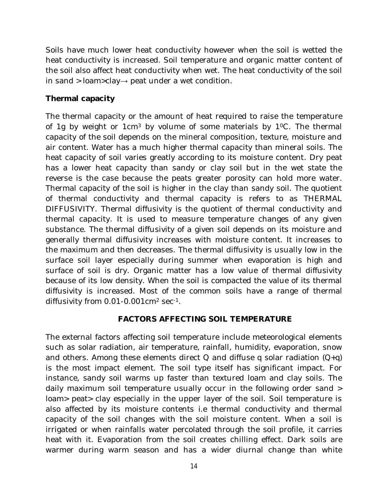Soils have much lower heat conductivity however when the soil is wetted the heat conductivity is increased. Soil temperature and organic matter content of the soil also affect heat conductivity when wet. The heat conductivity of the soil in sand > loam>clay→ peat under a wet condition.

## **Thermal capacity**

The thermal capacity or the amount of heat required to raise the temperature of 1g by weight or  $1 \text{cm}^3$  by volume of some materials by  $1 \text{°C}$ . The thermal capacity of the soil depends on the mineral composition, texture, moisture and air content. Water has a much higher thermal capacity than mineral soils. The heat capacity of soil varies greatly according to its moisture content. Dry peat has a lower heat capacity than sandy or clay soil but in the wet state the reverse is the case because the peats greater porosity can hold more water. Thermal capacity of the soil is higher in the clay than sandy soil. The quotient of thermal conductivity and thermal capacity is refers to as THERMAL DIFFUSIVITY. Thermal diffusivity is the quotient of thermal conductivity and thermal capacity. It is used to measure temperature changes of any given substance. The thermal diffusivity of a given soil depends on its moisture and generally thermal diffusivity increases with moisture content. It increases to the maximum and then decreases. The thermal diffusivity is usually low in the surface soil layer especially during summer when evaporation is high and surface of soil is dry. Organic matter has a low value of thermal diffusivity because of its low density. When the soil is compacted the value of its thermal diffusivity is increased. Most of the common soils have a range of thermal diffusivity from 0.01-0.001cm<sup>2</sup> sec<sup>-1</sup>.

## **FACTORS AFFECTING SOIL TEMPERATURE**

The external factors affecting soil temperature include meteorological elements such as solar radiation, air temperature, rainfall, humidity, evaporation, snow and others. Among these elements direct  $Q$  and diffuse q solar radiation  $(Q+q)$ is the most impact element. The soil type itself has significant impact. For instance, sandy soil warms up faster than textured loam and clay soils. The daily maximum soil temperature usually occur in the following order sand > loam> peat> clay especially in the upper layer of the soil. Soil temperature is also affected by its moisture contents i.e thermal conductivity and thermal capacity of the soil changes with the soil moisture content. When a soil is irrigated or when rainfalls water percolated through the soil profile, it carries heat with it. Evaporation from the soil creates chilling effect. Dark soils are warmer during warm season and has a wider diurnal change than white